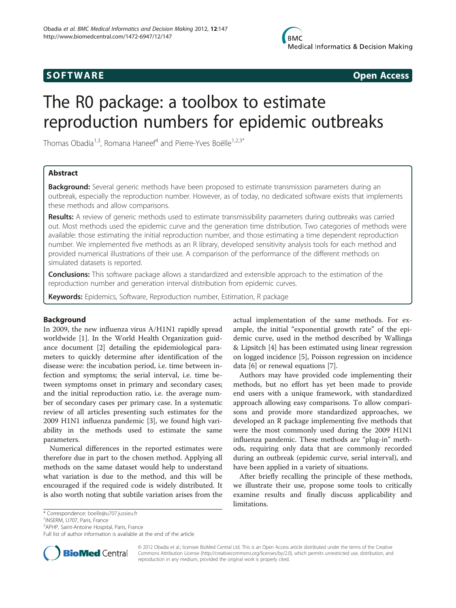## **SOFTWARE SOFTWARE SOFTWARE**

# The R0 package: a toolbox to estimate reproduction numbers for epidemic outbreaks

Thomas Obadia<sup>1,3</sup>, Romana Haneef<sup>4</sup> and Pierre-Yves Boëlle<sup>1,2,3\*</sup>

## Abstract

**Background:** Several generic methods have been proposed to estimate transmission parameters during an outbreak, especially the reproduction number. However, as of today, no dedicated software exists that implements these methods and allow comparisons.

Results: A review of generic methods used to estimate transmissibility parameters during outbreaks was carried out. Most methods used the epidemic curve and the generation time distribution. Two categories of methods were available: those estimating the initial reproduction number, and those estimating a time dependent reproduction number. We implemented five methods as an R library, developed sensitivity analysis tools for each method and provided numerical illustrations of their use. A comparison of the performance of the different methods on simulated datasets is reported.

**Conclusions:** This software package allows a standardized and extensible approach to the estimation of the reproduction number and generation interval distribution from epidemic curves.

Keywords: Epidemics, Software, Reproduction number, Estimation, R package

## Background

In 2009, the new influenza virus A/H1N1 rapidly spread worldwide [\[1](#page-7-0)]. In the World Health Organization guidance document [[2\]](#page-7-0) detailing the epidemiological parameters to quickly determine after identification of the disease were: the incubation period, i.e. time between infection and symptoms; the serial interval, i.e. time between symptoms onset in primary and secondary cases; and the initial reproduction ratio, i.e. the average number of secondary cases per primary case. In a systematic review of all articles presenting such estimates for the 2009 H1N1 influenza pandemic [\[3\]](#page-7-0), we found high variability in the methods used to estimate the same parameters.

Numerical differences in the reported estimates were therefore due in part to the chosen method. Applying all methods on the same dataset would help to understand what variation is due to the method, and this will be encouraged if the required code is widely distributed. It is also worth noting that subtile variation arises from the

actual implementation of the same methods. For example, the initial "exponential growth rate" of the epidemic curve, used in the method described by Wallinga & Lipsitch [[4\]](#page-7-0) has been estimated using linear regression on logged incidence [\[5](#page-7-0)], Poisson regression on incidence data [\[6\]](#page-7-0) or renewal equations [[7\]](#page-7-0).

Authors may have provided code implementing their methods, but no effort has yet been made to provide end users with a unique framework, with standardized approach allowing easy comparisons. To allow comparisons and provide more standardized approaches, we developed an R package implementing five methods that were the most commonly used during the 2009 H1N1 influenza pandemic. These methods are "plug-in" methods, requiring only data that are commonly recorded during an outbreak (epidemic curve, serial interval), and have been applied in a variety of situations.

After briefly recalling the principle of these methods, we illustrate their use, propose some tools to critically examine results and finally discuss applicability and limitations.

<sup>1</sup>INSERM, U707, Paris, France

2 APHP, Saint-Antoine Hospital, Paris, France

Full list of author information is available at the end of the article



© 2012 Obadia et al.; licensee BioMed Central Ltd. This is an Open Access article distributed under the terms of the Creative Commons Attribution License [\(http://creativecommons.org/licenses/by/2.0\)](http://creativecommons.org/licenses/by/2.0), which permits unrestricted use, distribution, and reproduction in any medium, provided the original work is properly cited.

<sup>\*</sup> Correspondence: [boelle@u707.jussieu.fr](mailto:boelle@u707.jussieu.fr) <sup>1</sup>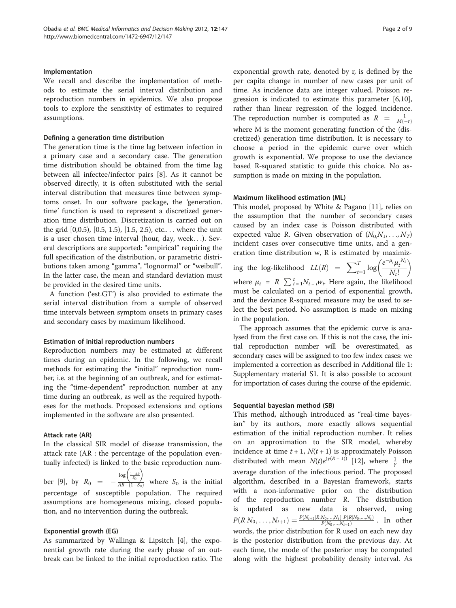#### Implementation

We recall and describe the implementation of methods to estimate the serial interval distribution and reproduction numbers in epidemics. We also propose tools to explore the sensitivity of estimates to required assumptions.

#### Defining a generation time distribution

The generation time is the time lag between infection in a primary case and a secondary case. The generation time distribution should be obtained from the time lag between all infectee/infector pairs [\[8\]](#page-7-0). As it cannot be observed directly, it is often substituted with the serial interval distribution that measures time between symptoms onset. In our software package, the 'generation. time' function is used to represent a discretized generation time distribution. Discretization is carried out on the grid  $[0,0.5)$ ,  $[0.5, 1.5)$ ,  $[1.5, 2.5)$ , etc... where the unit is a user chosen time interval (hour, day, week...). Several descriptions are supported: "empirical" requiring the full specification of the distribution, or parametric distributions taken among "gamma", "lognormal" or "weibull". In the latter case, the mean and standard deviation must be provided in the desired time units.

A function ('est.GT') is also provided to estimate the serial interval distribution from a sample of observed time intervals between symptom onsets in primary cases and secondary cases by maximum likelihood.

#### Estimation of initial reproduction numbers

Reproduction numbers may be estimated at different times during an epidemic. In the following, we recall methods for estimating the "initial" reproduction number, i.e. at the beginning of an outbreak, and for estimating the "time-dependent" reproduction number at any time during an outbreak, as well as the required hypotheses for the methods. Proposed extensions and options implemented in the software are also presented.

#### Attack rate (AR)

In the classical SIR model of disease transmission, the attack rate (AR : the percentage of the population eventually infected) is linked to the basic reproduction num-

ber [[9\]](#page-7-0), by  $R_0 = -\frac{\log\left(\frac{1-A}{S_0}\right)}{1-\frac{1}{A}}$  $\frac{X^{-0} - I}{AR - (1 - S_0)}$  where  $S_0$  is the initial percentage of susceptible population. The required assumptions are homogeneous mixing, closed population, and no intervention during the outbreak.

#### Exponential growth (EG)

As summarized by Wallinga & Lipsitch [[4\]](#page-7-0), the exponential growth rate during the early phase of an outbreak can be linked to the initial reproduction ratio. The

exponential growth rate, denoted by r, is defined by the per capita change in number of new cases per unit of time. As incidence data are integer valued, Poisson regression is indicated to estimate this parameter [\[6,10](#page-7-0)], rather than linear regression of the logged incidence. The reproduction number is computed as  $R = \frac{1}{M(-r)}$ where M is the moment generating function of the (discretized) generation time distribution. It is necessary to choose a period in the epidemic curve over which growth is exponential. We propose to use the deviance based R-squared statistic to guide this choice. No assumption is made on mixing in the population.

#### Maximum likelihood estimation (ML)

This model, proposed by White & Pagano [\[11\]](#page-7-0), relies on the assumption that the number of secondary cases caused by an index case is Poisson distributed with expected value R. Given observation of  $(N_0, N_1, \ldots, N_T)$ incident cases over consecutive time units, and a generation time distribution w, R is estimated by maximizing the log-likelihood  $LL(R) = \sum_{t=1}^{T} \log \left( \frac{e^{-\mu_t} \mu_t^{N_t}}{N_t!} \right)$  $N_t!$  $\left(e^{-\mu_t}\mu_t^{N_t}\right)$ where  $\mu_t = R \sum_{i=1}^t N_{t-i} w_i$ . Here again, the likelihood must be calculated on a period of exponential growth, and the deviance R-squared measure may be used to select the best period. No assumption is made on mixing in the population.

The approach assumes that the epidemic curve is analysed from the first case on. If this is not the case, the initial reproduction number will be overestimated, as secondary cases will be assigned to too few index cases: we implemented a correction as described in Additional file [1](#page-7-0): Supplementary material S1. It is also possible to account for importation of cases during the course of the epidemic.

#### Sequential bayesian method (SB)

This method, although introduced as "real-time bayesian" by its authors, more exactly allows sequential estimation of the initial reproduction number. It relies on an approximation to the SIR model, whereby incidence at time  $t + 1$ ,  $N(t + 1)$  is approximately Poisson distributed with mean  $N(t)e^{(\gamma(R-1))}$  [\[12\]](#page-7-0), where  $\frac{1}{\gamma}$  the average duration of the infectious period. The proposed algorithm, described in a Bayesian framework, starts with a non-informative prior on the distribution of the reproduction number R. The distribution updated as new data is observed, using  $P(R|N_0, \ldots, N_{t+1}) = \frac{P(N_{t+1}|R, N_0, \ldots, N_t) P(R|N_0, \ldots, N_t)}{P(N_0, \ldots, N_{t+1})}$ . In other words, the prior distribution for R used on each new day is the posterior distribution from the previous day. At each time, the mode of the posterior may be computed along with the highest probability density interval. As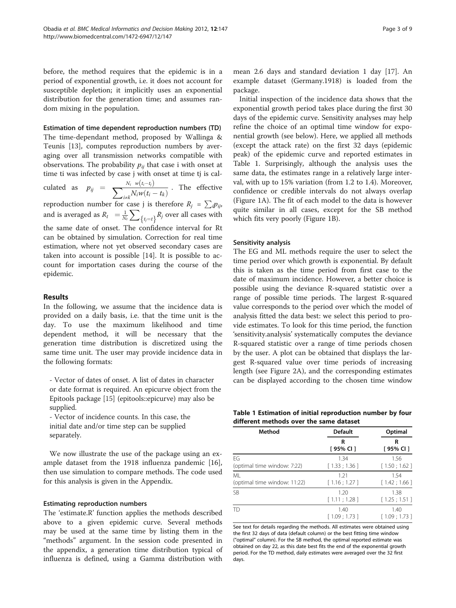<span id="page-2-0"></span>before, the method requires that the epidemic is in a period of exponential growth, i.e. it does not account for susceptible depletion; it implicitly uses an exponential distribution for the generation time; and assumes random mixing in the population.

## Estimation of time dependent reproduction numbers (TD)

The time-dependant method, proposed by Wallinga & Teunis [[13\]](#page-7-0), computes reproduction numbers by averaging over all transmission networks compatible with observations. The probability  $p_{ii}$  that case i with onset at time ti was infected by case j with onset at time tj is calculated as  $p_{ij} = \frac{N_i w(t_i - t_j)}{\sum_{i \neq k} N_i w(t_i - t_j)}$  $\frac{N_i W(t_i - t_k)}{i \neq k}$ . The effective reproduction number for case j is therefore  $R_j = \sum_i p_{ij}$ , and is averaged as  $R_t = \frac{1}{N_t} \sum_{\{t_j = t\}} R_j$  over all cases with<br>the same date of onset. The confidence interval for Rt the same date of onset. The confidence interval for Rt can be obtained by simulation. Correction for real time estimation, where not yet observed secondary cases are taken into account is possible [[14](#page-7-0)]. It is possible to account for importation cases during the course of the epidemic.

### Results

In the following, we assume that the incidence data is provided on a daily basis, i.e. that the time unit is the day. To use the maximum likelihood and time dependent method, it will be necessary that the generation time distribution is discretized using the same time unit. The user may provide incidence data in the following formats:

- Vector of dates of onset. A list of dates in character or date format is required. An epicurve object from the Epitools package [[15](#page-7-0)] (epitools::epicurve) may also be supplied.

- Vector of incidence counts. In this case, the initial date and/or time step can be supplied separately.

We now illustrate the use of the package using an example dataset from the 1918 influenza pandemic [\[16](#page-7-0)], then use simulation to compare methods. The code used for this analysis is given in the [Appendix.](#page-7-0)

#### Estimating reproduction numbers

The 'estimate.R' function applies the methods described above to a given epidemic curve. Several methods may be used at the same time by listing them in the "methods" argument. In the session code presented in the appendix, a generation time distribution typical of influenza is defined, using a Gamma distribution with

mean 2.6 days and standard deviation 1 day [\[17\]](#page-8-0). An example dataset (Germany.1918) is loaded from the package.

Initial inspection of the incidence data shows that the exponential growth period takes place during the first 30 days of the epidemic curve. Sensitivity analyses may help refine the choice of an optimal time window for exponential growth (see below). Here, we applied all methods (except the attack rate) on the first 32 days (epidemic peak) of the epidemic curve and reported estimates in Table 1. Surprisingly, although the analysis uses the same data, the estimates range in a relatively large interval, with up to 15% variation (from 1.2 to 1.4). Moreover, confidence or credible intervals do not always overlap (Figure [1](#page-3-0)A). The fit of each model to the data is however quite similar in all cases, except for the SB method which fits very poorly (Figure [1](#page-3-0)B).

#### Sensitivity analysis

The EG and ML methods require the user to select the time period over which growth is exponential. By default this is taken as the time period from first case to the date of maximum incidence. However, a better choice is possible using the deviance R-squared statistic over a range of possible time periods. The largest R-squared value corresponds to the period over which the model of analysis fitted the data best: we select this period to provide estimates. To look for this time period, the function 'sensitivity.analysis' systematically computes the deviance R-squared statistic over a range of time periods chosen by the user. A plot can be obtained that displays the largest R-squared value over time periods of increasing length (see Figure [2](#page-3-0)A), and the corresponding estimates can be displayed according to the chosen time window

Table 1 Estimation of initial reproduction number by four different methods over the same dataset

| Method                             | <b>Default</b>          | Optimal<br>R<br>[95% CI] |  |
|------------------------------------|-------------------------|--------------------------|--|
|                                    | R<br>[95% CI]           |                          |  |
| FG<br>(optimal time window: 7:22)  | 1.34<br>[1.33:1.36]     | 1.56<br>[1.50:1.62]      |  |
| ML<br>(optimal time window: 11:22) | 1.21<br>[1.16:1.27]     | 1.54<br>[1.42:1.66]      |  |
| <b>SB</b>                          | 1.20<br>[1.11;1.28]     | 1.38<br>[1.25:1.51]      |  |
| TD                                 | 1.40<br>[ 1.09 : 1.73 ] | 1.40<br>[ 1.09 : 1.73 ]  |  |

See text for details regarding the methods. All estimates were obtained using the first 32 days of data (default column) or the best fitting time window ("optimal" column). For the SB method, the optimal reported estimate was obtained on day 22, as this date best fits the end of the exponential growth period. For the TD method, daily estimates were averaged over the 32 first days.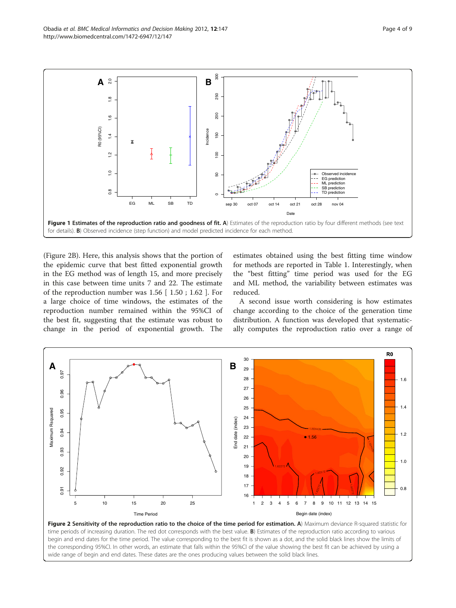<span id="page-3-0"></span>Obadia et al. BMC Medical Informatics and Decision Making 2012, 12:147 http://www.biomedcentral.com/1472-6947/12/147



(Figure 2B). Here, this analysis shows that the portion of the epidemic curve that best fitted exponential growth in the EG method was of length 15, and more precisely in this case between time units 7 and 22. The estimate of the reproduction number was 1.56 [ 1.50 ; 1.62 ]. For a large choice of time windows, the estimates of the reproduction number remained within the 95%CI of the best fit, suggesting that the estimate was robust to change in the period of exponential growth. The

estimates obtained using the best fitting time window for methods are reported in Table [1.](#page-2-0) Interestingly, when the "best fitting" time period was used for the EG and ML method, the variability between estimates was reduced.

A second issue worth considering is how estimates change according to the choice of the generation time distribution. A function was developed that systematically computes the reproduction ratio over a range of



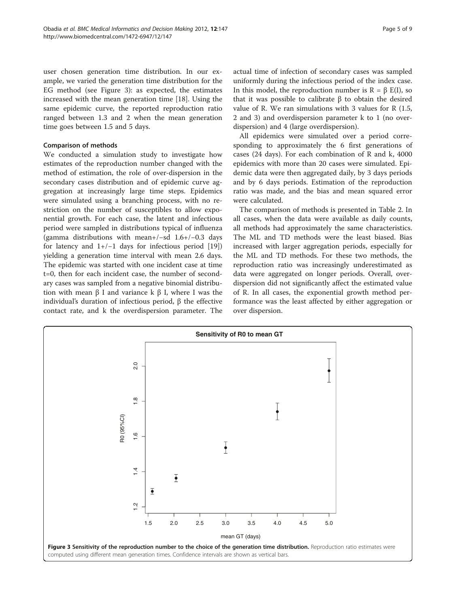user chosen generation time distribution. In our example, we varied the generation time distribution for the EG method (see Figure 3): as expected, the estimates increased with the mean generation time [\[18](#page-8-0)]. Using the same epidemic curve, the reported reproduction ratio ranged between 1.3 and 2 when the mean generation time goes between 1.5 and 5 days.

#### Comparison of methods

We conducted a simulation study to investigate how estimates of the reproduction number changed with the method of estimation, the role of over-dispersion in the secondary cases distribution and of epidemic curve aggregation at increasingly large time steps. Epidemics were simulated using a branching process, with no restriction on the number of susceptibles to allow exponential growth. For each case, the latent and infectious period were sampled in distributions typical of influenza (gamma distributions with mean+/−sd 1.6+/−0.3 days for latency and  $1+/-1$  days for infectious period [\[19](#page-8-0)]) yielding a generation time interval with mean 2.6 days. The epidemic was started with one incident case at time t=0, then for each incident case, the number of secondary cases was sampled from a negative binomial distribution with mean  $β$  I and variance k  $β$  I, where I was the individual's duration of infectious period, β the effective contact rate, and k the overdispersion parameter. The

actual time of infection of secondary cases was sampled uniformly during the infectious period of the index case. In this model, the reproduction number is  $R = \beta E(I)$ , so that it was possible to calibrate β to obtain the desired value of R. We ran simulations with 3 values for R (1.5, 2 and 3) and overdispersion parameter k to 1 (no overdispersion) and 4 (large overdispersion).

All epidemics were simulated over a period corresponding to approximately the 6 first generations of cases (24 days). For each combination of R and k, 4000 epidemics with more than 20 cases were simulated. Epidemic data were then aggregated daily, by 3 days periods and by 6 days periods. Estimation of the reproduction ratio was made, and the bias and mean squared error were calculated.

The comparison of methods is presented in Table [2.](#page-5-0) In all cases, when the data were available as daily counts, all methods had approximately the same characteristics. The ML and TD methods were the least biased. Bias increased with larger aggregation periods, especially for the ML and TD methods. For these two methods, the reproduction ratio was increasingly underestimated as data were aggregated on longer periods. Overall, overdispersion did not significantly affect the estimated value of R. In all cases, the exponential growth method performance was the least affected by either aggregation or over dispersion.

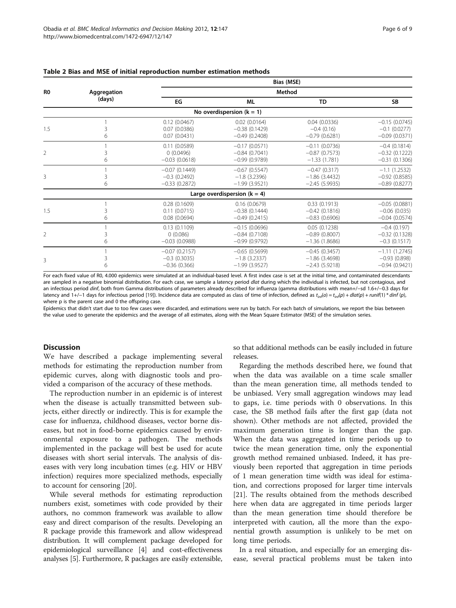|                | Aggregation<br>(days) | Bias (MSE)      |                                |                  |                 |  |
|----------------|-----------------------|-----------------|--------------------------------|------------------|-----------------|--|
| R <sub>0</sub> |                       | Method          |                                |                  |                 |  |
|                |                       | EG              | ML                             | TD               | SB              |  |
|                |                       |                 | No overdispersion $(k = 1)$    |                  |                 |  |
|                |                       | 0.12(0.0467)    | 0.02(0.0164)                   | 0.04(0.0336)     | $-0.15(0.0745)$ |  |
| 1.5            |                       | 0.07(0.0386)    | $-0.38(0.1429)$                | $-0.4(0.16)$     | $-0.1(0.0277)$  |  |
|                | 6                     | 0.07(0.0431)    | $-0.49(0.2408)$                | $-0.79(0.6281)$  | $-0.09(0.0371)$ |  |
| 2              |                       | 0.11(0.0589)    | $-0.17(0.0571)$                | $-0.11(0.0736)$  | $-0.4(0.1814)$  |  |
|                | 3                     | 0(0.0496)       | $-0.84(0.7041)$                | $-0.87(0.7573)$  | $-0.32(0.1222)$ |  |
|                | 6                     | $-0.03(0.0618)$ | $-0.99(0.9789)$                | $-1.33(1.781)$   | $-0.31(0.1306)$ |  |
| 3              |                       | $-0.07(0.1449)$ | $-0.67(0.5547)$                | $-0.47(0.317)$   | $-1.1(1.2532)$  |  |
|                | 3                     | $-0.3(0.2492)$  | $-1.8$ (3.2396)                | $-1.86(3.4432)$  | $-0.92(0.8585)$ |  |
|                | 6                     | $-0.33(0.2872)$ | $-1.99(3.9521)$                | $-2.45(5.9935)$  | $-0.89(0.8277)$ |  |
|                |                       |                 | Large overdispersion $(k = 4)$ |                  |                 |  |
|                |                       | 0.28(0.1609)    | 0.16(0.0679)                   | 0.33(0.1913)     | $-0.05(0.0881)$ |  |
| 1.5            |                       | 0.11(0.0715)    | $-0.38(0.1444)$                | $-0.42(0.1816)$  | $-0.06(0.035)$  |  |
|                | 6                     | 0.08(0.0694)    | $-0.49(0.2415)$                | $-0.83(0.6906)$  | $-0.04(0.0574)$ |  |
| $\overline{2}$ |                       | 0.13(0.1109)    | $-0.15(0.0696)$                | 0.05(0.1238)     | $-0.4(0.197)$   |  |
|                | 3                     | 0(0.086)        | $-0.84(0.7108)$                | $-0.89(0.8007)$  | $-0.32(0.1328)$ |  |
|                | 6                     | $-0.03(0.0988)$ | $-0.99(0.9792)$                | $-1.36(1.8686)$  | $-0.3$ (0.1517) |  |
|                |                       | $-0.07(0.2157)$ | $-0.65(0.5699)$                | $-0.45(0.3457)$  | $-1.11(1.2745)$ |  |
| 3              |                       | $-0.3(0.3035)$  | $-1.8$ (3.2337)                | $-1.86$ (3.4698) | $-0.93(0.898)$  |  |
|                | 6                     | $-0.36(0.366)$  | $-1.99(3.9527)$                | $-2.43(5.9218)$  | $-0.94(0.9421)$ |  |

#### <span id="page-5-0"></span>Table 2 Bias and MSE of initial reproduction number estimation methods

For each fixed value of R0, 4.000 epidemics were simulated at an individual-based level. A first index case is set at the initial time, and contaminated descendants are sampled in a negative binomial distribution. For each case, we sample a latency period dlat during which the individual is infected, but not contagious, and an infectious period dinf, both from Gamma distributions of parameters already described for influenza (gamma distributions with mean+/−sd 1.6+/−0.3 days for latency and 1+/−1 days for infectious period [\[19\]](#page-8-0)). Incidence data are computed as class of time of infection, defined as t<sub>inf</sub>(o) = t<sub>inf</sub>(p) + dlat(p) + runif(1) \* dinf (p), where p is the parent case and 0 the offspring case.

Epidemics that didn't start due to too few cases were discarded, and estimations were run by batch. For each batch of simulations, we report the bias between the value used to generate the epidemics and the average of all estimates, along with the Mean Square Estimator (MSE) of the simulation series.

#### Discussion

We have described a package implementing several methods for estimating the reproduction number from epidemic curves, along with diagnostic tools and provided a comparison of the accuracy of these methods.

The reproduction number in an epidemic is of interest when the disease is actually transmitted between subjects, either directly or indirectly. This is for example the case for influenza, childhood diseases, vector borne diseases, but not in food-borne epidemics caused by environmental exposure to a pathogen. The methods implemented in the package will best be used for acute diseases with short serial intervals. The analysis of diseases with very long incubation times (e.g. HIV or HBV infection) requires more specialized methods, especially to account for censoring [\[20](#page-8-0)].

While several methods for estimating reproduction numbers exist, sometimes with code provided by their authors, no common framework was available to allow easy and direct comparison of the results. Developing an R package provide this framework and allow widespread distribution. It will complement package developed for epidemiological surveillance [\[4\]](#page-7-0) and cost-effectiveness analyses [[5\]](#page-7-0). Furthermore, R packages are easily extensible, so that additional methods can be easily included in future releases.

Regarding the methods described here, we found that when the data was available on a time scale smaller than the mean generation time, all methods tended to be unbiased. Very small aggregation windows may lead to gaps, i.e. time periods with 0 observations. In this case, the SB method fails after the first gap (data not shown). Other methods are not affected, provided the maximum generation time is longer than the gap. When the data was aggregated in time periods up to twice the mean generation time, only the exponential growth method remained unbiased. Indeed, it has previously been reported that aggregation in time periods of 1 mean generation time width was ideal for estimation, and corrections proposed for larger time intervals [[21\]](#page-8-0). The results obtained from the methods described here when data are aggregated in time periods larger than the mean generation time should therefore be interpreted with caution, all the more than the exponential growth assumption is unlikely to be met on long time periods.

In a real situation, and especially for an emerging disease, several practical problems must be taken into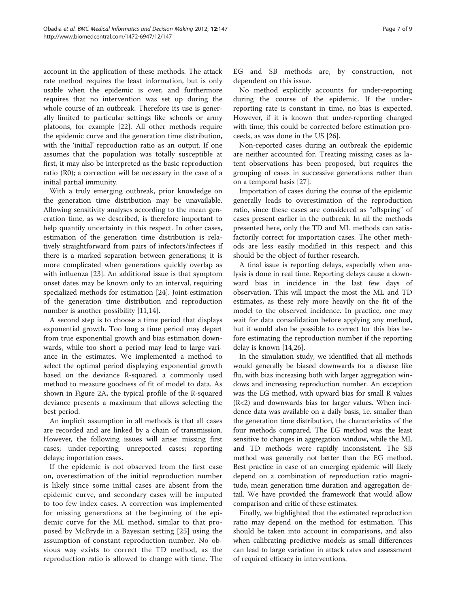account in the application of these methods. The attack rate method requires the least information, but is only usable when the epidemic is over, and furthermore requires that no intervention was set up during the whole course of an outbreak. Therefore its use is generally limited to particular settings like schools or army platoons, for example [\[22](#page-8-0)]. All other methods require the epidemic curve and the generation time distribution, with the 'initial' reproduction ratio as an output. If one assumes that the population was totally susceptible at first, it may also be interpreted as the basic reproduction ratio (R0); a correction will be necessary in the case of a initial partial immunity.

With a truly emerging outbreak, prior knowledge on the generation time distribution may be unavailable. Allowing sensitivity analyses according to the mean generation time, as we described, is therefore important to help quantify uncertainty in this respect. In other cases, estimation of the generation time distribution is relatively straightforward from pairs of infectors/infectees if there is a marked separation between generations; it is more complicated when generations quickly overlap as with influenza [[23\]](#page-8-0). An additional issue is that symptom onset dates may be known only to an interval, requiring specialized methods for estimation [[24](#page-8-0)]. Joint-estimation of the generation time distribution and reproduction number is another possibility [\[11,14](#page-7-0)].

A second step is to choose a time period that displays exponential growth. Too long a time period may depart from true exponential growth and bias estimation downwards, while too short a period may lead to large variance in the estimates. We implemented a method to select the optimal period displaying exponential growth based on the deviance R-squared, a commonly used method to measure goodness of fit of model to data. As shown in Figure [2A](#page-3-0), the typical profile of the R-squared deviance presents a maximum that allows selecting the best period.

An implicit assumption in all methods is that all cases are recorded and are linked by a chain of transmission. However, the following issues will arise: missing first cases; under-reporting; unreported cases; reporting delays; importation cases.

If the epidemic is not observed from the first case on, overestimation of the initial reproduction number is likely since some initial cases are absent from the epidemic curve, and secondary cases will be imputed to too few index cases. A correction was implemented for missing generations at the beginning of the epidemic curve for the ML method, similar to that proposed by McBryde in a Bayesian setting [\[25\]](#page-8-0) using the assumption of constant reproduction number. No obvious way exists to correct the TD method, as the reproduction ratio is allowed to change with time. The EG and SB methods are, by construction, not dependent on this issue.

No method explicitly accounts for under-reporting during the course of the epidemic. If the underreporting rate is constant in time, no bias is expected. However, if it is known that under-reporting changed with time, this could be corrected before estimation proceeds, as was done in the US [[26](#page-8-0)].

Non-reported cases during an outbreak the epidemic are neither accounted for. Treating missing cases as latent observations has been proposed, but requires the grouping of cases in successive generations rather than on a temporal basis [\[27\]](#page-8-0).

Importation of cases during the course of the epidemic generally leads to overestimation of the reproduction ratio, since these cases are considered as "offspring" of cases present earlier in the outbreak. In all the methods presented here, only the TD and ML methods can satisfactorily correct for importation cases. The other methods are less easily modified in this respect, and this should be the object of further research.

A final issue is reporting delays, especially when analysis is done in real time. Reporting delays cause a downward bias in incidence in the last few days of observation. This will impact the most the ML and TD estimates, as these rely more heavily on the fit of the model to the observed incidence. In practice, one may wait for data consolidation before applying any method, but it would also be possible to correct for this bias before estimating the reproduction number if the reporting delay is known [[14,](#page-7-0)[26\]](#page-8-0).

In the simulation study, we identified that all methods would generally be biased downwards for a disease like flu, with bias increasing both with larger aggregation windows and increasing reproduction number. An exception was the EG method, with upward bias for small R values (R<2) and downwards bias for larger values. When incidence data was available on a daily basis, i.e. smaller than the generation time distribution, the characteristics of the four methods compared. The EG method was the least sensitive to changes in aggregation window, while the ML and TD methods were rapidly inconsistent. The SB method was generally not better than the EG method. Best practice in case of an emerging epidemic will likely depend on a combination of reproduction ratio magnitude, mean generation time duration and aggregation detail. We have provided the framework that would allow comparison and critic of these estimates.

Finally, we highlighted that the estimated reproduction ratio may depend on the method for estimation. This should be taken into account in comparisons, and also when calibrating predictive models as small differences can lead to large variation in attack rates and assessment of required efficacy in interventions.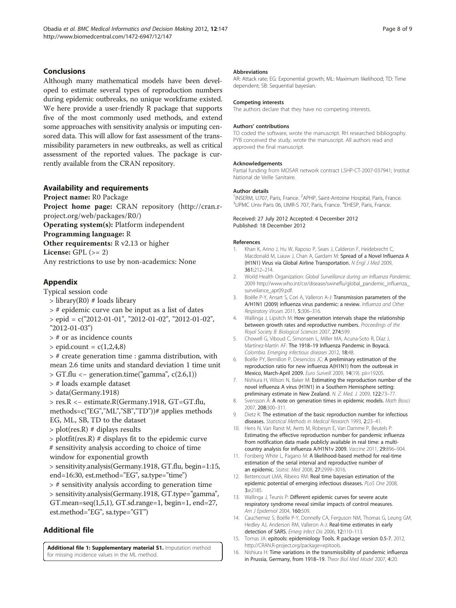## <span id="page-7-0"></span>Conclusions

Although many mathematical models have been developed to estimate several types of reproduction numbers during epidemic outbreaks, no unique workframe existed. We here provide a user-friendly R package that supports five of the most commonly used methods, and extend some approaches with sensitivity analysis or imputing censored data. This will allow for fast assessment of the transmissibility parameters in new outbreaks, as well as critical assessment of the reported values. The package is currently available from the CRAN repository.

## Availability and requirements

Project name: R0 Package

Project home page: CRAN repository ([http://cran.r](http://cran.r-project.org/web/packages/R0/)[project.org/web/packages/R0/](http://cran.r-project.org/web/packages/R0/)) Operating system(s): Platform independent Programming language: <sup>R</sup>

Other requirements: R v2.13 or higher

License:  $GPL$  ( $>= 2$ )

Any restrictions to use by non-academics: None

## Appendix

Typical session code

- > library(R0) # loads library
- > # epidemic curve can be input as a list of dates

> epid = c("2012-01-01", "2012-01-02", "2012-01-02", "2012-01-03")

- > # or as incidence counts
- $>$  epid.count =  $c(1,2,4,8)$
- > # create generation time : gamma distribution, with mean 2.6 time units and standard deviation 1 time unit
- > GT.flu <− generation.time("gamma", c(2.6,1))
- > # loads example dataset
- > data(Germany.1918)
- > res.R <− estimate.R(Germany.1918, GT=GT.flu, methods=c("EG","ML","SB","TD"))# applies methods EG, ML, SB, TD to the dataset
- $> plot(res.R)$  # diplays results
- > plotfit(res.R) # displays fit to the epidemic curve
- # sensitivity analysis according to choice of time
- window for exponential growth
- > sensitivity.analysis(Germany.1918, GT.flu, begin=1:15, end=16:30, est.method="EG", sa.type="time")
- > # sensitivity analysis according to generation time
- > sensitivity.analysis(Germany.1918, GT.type="gamma",
- GT.mean=seq $(1,5,1)$ , GT.sd.range=1, begin=1, end=27, est.method="EG", sa.type="GT")

## Additional file

[Additional file 1: Supplementary material S1.](http://www.biomedcentral.com/content/supplementary/1472-6947-12-147-S1.docx) Imputation method for missing incidence values in the ML method.

#### **Abbreviations**

AR: Attack rate; EG: Exponential growth; ML: Maximum likelihood; TD: Time dependent; SB: Sequential bayesian.

#### Competing interests

The authors declare that they have no competing interests.

#### Authors' contributions

TO coded the software, wrote the manuscript. RH researched bibliography. PYB conceived the study, wrote the manuscript. All authors read and approved the final manuscript.

#### Acknowledgements

Partial funding from MOSAR network contract LSHP-CT-2007-037941; Institut National de Veille Sanitaire.

#### Author details

<sup>1</sup> INSERM, U707, Paris, France. <sup>2</sup>APHP, Saint-Antoine Hospital, Paris, France.<br><sup>3</sup>LIPMC Univ Paris 06, UMB-S 707, Paris, France. <sup>4</sup>EHESP, Paris, France. UPMC Univ Paris 06, UMR-S 707, Paris, France. <sup>4</sup>EHESP, Paris, France.

Received: 27 July 2012 Accepted: 4 December 2012 Published: 18 December 2012

#### References

- 1. Khan K, Arino J, Hu W, Raposo P, Sears J, Calderon F, Heidebrecht C, Macdonald M, Liauw J, Chan A, Gardam M: Spread of a Novel Influenza A (H1N1) Virus via Global Airline Transportation. N Engl J Med 2009, 361:212–214.
- 2. World Health Organization: Global Surveillance during an Influenza Pandemic. 2009 [http://www.who.int/csr/disease/swineflu/global\\_pandemic\\_influenza\\_](http://www.who.int/csr/disease/swineflu/global_pandemic_influenza_surveilance_apr09.pdf) [surveilance\\_apr09.pdf](http://www.who.int/csr/disease/swineflu/global_pandemic_influenza_surveilance_apr09.pdf).
- 3. Boëlle P-Y, Ansart S, Cori A, Valleron A-J: Transmission parameters of the A/H1N1 (2009) influenza virus pandemic: a review. Influenza and Other Respiratory Viruses 2011, 5:306–316.
- 4. Wallinga J, Lipsitch M: How generation intervals shape the relationship between growth rates and reproductive numbers. Proceedings of the Royal Society B: Biological Sciences 2007, 274:599.
- 5. Chowell G, Viboud C, Simonsen L, Miller MA, Acuna-Soto R, Díaz J, Martínez-Martín AF: The 1918–19 Influenza Pandemic in Boyacá. Colombia. Emerging infectious diseases 2012, 18:48.
- 6. Boëlle PY, Bernillon P, Desenclos JC: A preliminary estimation of the reproduction ratio for new influenza A(H1N1) from the outbreak in Mexico, March-April 2009. Euro Surveill 2009, 14(19). pii=19205.
- 7. Nishiura H, Wilson N, Baker M: Estimating the reproduction number of the novel influenza A virus (H1N1) in a Southern Hemisphere setting: preliminary estimate in New Zealand. N. Z. Med. J. 2009, 122:73-77
- Svensson Å: A note on generation times in epidemic models. Math Biosci 2007, 208:300–311.
- 9. Dietz K: The estimation of the basic reproduction number for infectious diseases. Statistical Methods in Medical Research 1993, 2:23–41.
- 10. Hens N, Van Ranst M, Aerts M, Robesyn E, Van Damme P, Beutels P: Estimating the effective reproduction number for pandemic influenza from notification data made publicly available in real time: a multicountry analysis for influenza A/H1N1v 2009. Vaccine 2011, 29:896–904.
- 11. Forsberg White L, Pagano M: A likelihood-based method for real-time estimation of the serial interval and reproductive number of an epidemic. Statist. Med 2008, 27:2999–3016.
- 12. Bettencourt LMA, Ribeiro RM: Real time bayesian estimation of the epidemic potential of emerging infectious diseases. PLoS One 2008, 3:e2185.
- 13. Wallinga J, Teunis P: Different epidemic curves for severe acute respiratory syndrome reveal similar impacts of control measures. Am J Epidemiol 2004, 160:509.
- 14. Cauchemez S, Boëlle P-Y, Donnelly CA, Ferguson NM, Thomas G, Leung GM, Hedley AJ, Anderson RM, Valleron A-J: Real-time estimates in early detection of SARS. Emerg Infect Dis 2006, 12:110–113.
- 15. Tomas JA: epitools: epidemiology Tools. R package version 0.5-7. 2012, <http://CRAN.R-project.org/package=epitools>.
- 16. Nishiura H: Time variations in the transmissibility of pandemic influenza in Prussia, Germany, from 1918–19. Theor Biol Med Model 2007, 4:20.